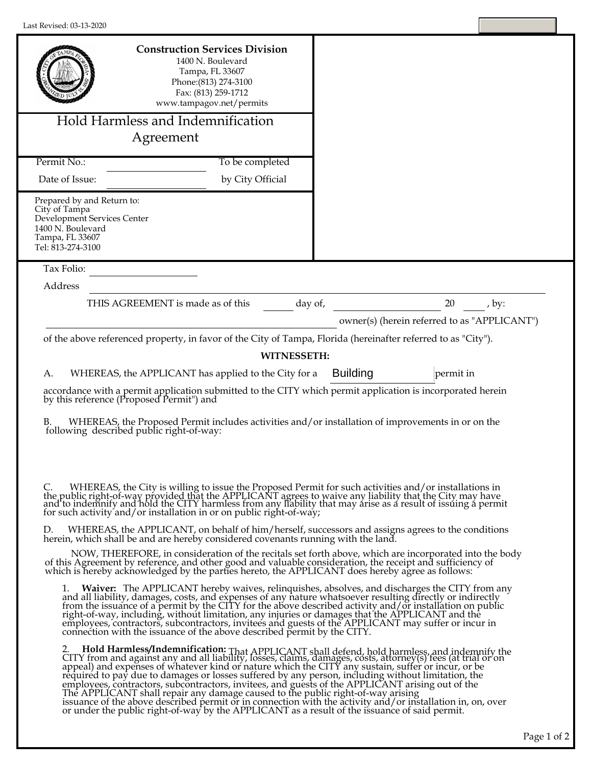| Last Revised: 03-13-2020                                                                                                                |                                                                                                                                                           |                                                                                                                                                                                                                                                                                                                                                                                                                                                                                                                                                                                                                                                                                                                                              |  |
|-----------------------------------------------------------------------------------------------------------------------------------------|-----------------------------------------------------------------------------------------------------------------------------------------------------------|----------------------------------------------------------------------------------------------------------------------------------------------------------------------------------------------------------------------------------------------------------------------------------------------------------------------------------------------------------------------------------------------------------------------------------------------------------------------------------------------------------------------------------------------------------------------------------------------------------------------------------------------------------------------------------------------------------------------------------------------|--|
|                                                                                                                                         | <b>Construction Services Division</b><br>1400 N. Boulevard<br>Tampa, FL 33607<br>Phone: (813) 274-3100<br>Fax: (813) 259-1712<br>www.tampagov.net/permits |                                                                                                                                                                                                                                                                                                                                                                                                                                                                                                                                                                                                                                                                                                                                              |  |
|                                                                                                                                         | Hold Harmless and Indemnification                                                                                                                         |                                                                                                                                                                                                                                                                                                                                                                                                                                                                                                                                                                                                                                                                                                                                              |  |
|                                                                                                                                         | Agreement                                                                                                                                                 |                                                                                                                                                                                                                                                                                                                                                                                                                                                                                                                                                                                                                                                                                                                                              |  |
| Permit No.:                                                                                                                             | To be completed                                                                                                                                           |                                                                                                                                                                                                                                                                                                                                                                                                                                                                                                                                                                                                                                                                                                                                              |  |
| Date of Issue:                                                                                                                          | by City Official                                                                                                                                          |                                                                                                                                                                                                                                                                                                                                                                                                                                                                                                                                                                                                                                                                                                                                              |  |
| Prepared by and Return to:<br>City of Tampa<br>Development Services Center<br>1400 N. Boulevard<br>Tampa, FL 33607<br>Tel: 813-274-3100 |                                                                                                                                                           |                                                                                                                                                                                                                                                                                                                                                                                                                                                                                                                                                                                                                                                                                                                                              |  |
| Tax Folio:                                                                                                                              |                                                                                                                                                           |                                                                                                                                                                                                                                                                                                                                                                                                                                                                                                                                                                                                                                                                                                                                              |  |
| Address                                                                                                                                 |                                                                                                                                                           |                                                                                                                                                                                                                                                                                                                                                                                                                                                                                                                                                                                                                                                                                                                                              |  |
|                                                                                                                                         | THIS AGREEMENT is made as of this                                                                                                                         | 20 , by:<br>day of,<br>owner(s) (herein referred to as "APPLICANT")                                                                                                                                                                                                                                                                                                                                                                                                                                                                                                                                                                                                                                                                          |  |
|                                                                                                                                         |                                                                                                                                                           | of the above referenced property, in favor of the City of Tampa, Florida (hereinafter referred to as "City").                                                                                                                                                                                                                                                                                                                                                                                                                                                                                                                                                                                                                                |  |
|                                                                                                                                         | <b>WITNESSETH:</b>                                                                                                                                        |                                                                                                                                                                                                                                                                                                                                                                                                                                                                                                                                                                                                                                                                                                                                              |  |
| А.                                                                                                                                      | WHEREAS, the APPLICANT has applied to the City for a                                                                                                      | <b>Building</b><br>permit in<br>accordance with a permit application submitted to the CITY which permit application is incorporated herein<br>by this reference (Proposed Permit") and                                                                                                                                                                                                                                                                                                                                                                                                                                                                                                                                                       |  |
| В.                                                                                                                                      |                                                                                                                                                           | B. WHEREAS, the Proposed Permit includes activities and/or installation of improvements in or on the following described public right-of-way:                                                                                                                                                                                                                                                                                                                                                                                                                                                                                                                                                                                                |  |
| C.                                                                                                                                      | for such activity and/or installation in or on public right-of-way;                                                                                       | WHEREAS, the City is willing to issue the Proposed Permit for such activities and/or installations in<br>the public right-of-way provided that the APPLICANT agrees to waive any liability that the City may have<br>and to indemnify and hold the CITY harmless from any liability that may arise as a result of issuing a permit                                                                                                                                                                                                                                                                                                                                                                                                           |  |
|                                                                                                                                         | herein, which shall be and are hereby considered covenants running with the land.                                                                         | WHEREAS, the APPLICANT, on behalf of him/herself, successors and assigns agrees to the conditions                                                                                                                                                                                                                                                                                                                                                                                                                                                                                                                                                                                                                                            |  |
|                                                                                                                                         |                                                                                                                                                           | NOW, THEREFORE, in consideration of the recitals set forth above, which are incorporated into the body<br>of this Agreement by reference, and other good and valuable consideration, the receipt and sufficiency of which is hereby acknowledged by the parties hereto, the APPLICANT does hereby agree as follows:                                                                                                                                                                                                                                                                                                                                                                                                                          |  |
| ı.                                                                                                                                      | connection with the issuance of the above described permit by the CITY.                                                                                   | Waiver: The APPLICANT hereby waives, relinquishes, absolves, and discharges the CITY from any<br>and all liability, damages, costs, and expenses of any nature whatsoever resulting directly or indirectly<br>from the issuance of a permit by the CITY for the above described activity and/or installation on public<br>right-of-way, including, without limitation, any injuries or damages that the APPLICANT and the<br>employees, contractors, subcontractors, invitees and guests of the APPLICANT may suffer or incur in                                                                                                                                                                                                             |  |
|                                                                                                                                         | The APPLICANT shall repair any damage caused to the public right-of-way arising                                                                           | 2. Hold Harmless/Indemnification: That APPLICANT shall defend, hold harmless, and indemnify the CITY from and against any and all liability, losses, claims, damages, costs, attorney(s) fees (at trial or on<br>appeal) and expenses of whatever kind or nature which the CITY any sustain, suffer or incur, or be<br>required to pay due to damages or losses suffered by any person, including without limitation, the<br>employees, contractors, subcontractors, invitees, and guests of the APPLICANT arising out of the<br>issuance of the above described permit or in connection with the activity and/or installation in, on, over<br>or under the public right-of-way by the APPLICANT as a result of the issuance of said permit. |  |